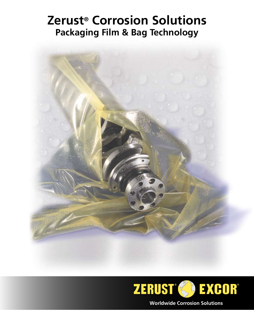# **Zerust® Corrosion Solutions Packaging Film & Bag Technology**



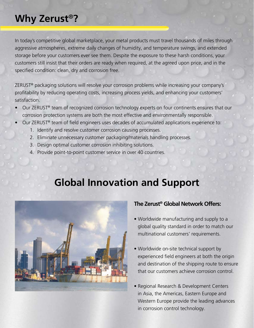# **Why Zerust**®**?**

In today's competitive global marketplace, your metal products must travel thousands of miles through aggressive atmospheres, extreme daily changes of humidity, and temperature swings, and extended storage before your customers ever see them. Despite the exposure to these harsh conditions, your customers still insist that their orders are ready when required, at the agreed upon price, and in the specified condition: clean, dry and corrosion free.

ZERUST® packaging solutions will resolve your corrosion problems while increasing your company's profitability by reducing operating costs, increasing process yields, and enhancing your customers' satisfaction.

- Our ZERUST® team of recognized corrosion technology experts on four continents ensures that our corrosion protection systems are both the most effective and environmentally responsible.
- Our ZERUST® team of field engineers uses decades of accumulated applications experience to:
	- 1. Identify and resolve customer corrosion causing processes.
	- 2. Eliminate unnecessary customer packaging/materials handling processes.
	- 3. Design optimal customer corrosion inhibiting solutions.
	- 4. Provide point-to-point customer service in over 40 countries.

# **Global Innovation and Support**



## **The Zerust® Global Network Offers:**

- Worldwide manufacturing and supply to a global quality standard in order to match our multinational customers' requirements.
- Worldwide on-site technical support by experienced field engineers at both the origin and destination of the shipping route to ensure that our customers achieve corrosion control.
- Regional Research & Development Centers in Asia, the Americas, Eastern Europe and Western Europe provide the leading advances in corrosion control technology.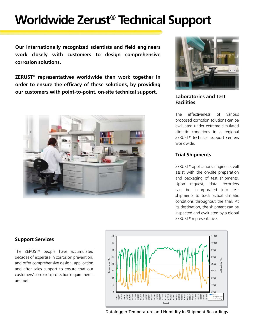# **Worldwide Zerust**® **Technical Support**

**Our internationally recognized scientists and field engineers work closely with customers to design comprehensive corrosion solutions.**

**ZERUST® representatives worldwide then work together in order to ensure the efficacy of these solutions, by providing our customers with point-to-point, on-site technical support. Laboratories and Test** 





**Facilities**

The effectiveness of various proposed corrosion solutions can be evaluated under extreme simulated climatic conditions in a regional ZERUST® technical support centers worldwide.

#### **Trial Shipments**

ZERUST® applications engineers will assist with the on-site preparation and packaging of test shipments. Upon request, data recorders can be incorporated into test shipments to track actual climatic conditions throughout the trial. At its destination, the shipment can be inspected and evaluated by a global ZERUST® representative.

#### **Support Services**

The ZERUST® people have accumulated decades of expertise in corrosion prevention, and offer comprehensive design, application and after sales support to ensure that our customers' corrosion protection requirements are met.



Datalogger Temperature and Humidity In-Shipment Recordings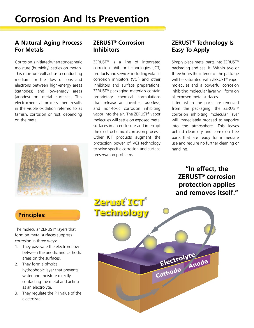### **A Natural Aging Process For Metals**

Corrosion is initiated when atmospheric moisture (humidity) settles on metals. This moisture will act as a conducting medium for the flow of ions and electrons between high-energy areas (cathodes) and low-energy areas (anodes) on metal surfaces. This electrochemical process then results in the visible oxidation referred to as tarnish, corrosion or rust, depending on the metal.



#### **ZERUST® Corrosion Inhibitors**

ZERUST® is a line of integrated corrosion inhibitor technologies (ICT) products and services including volatile corrosion inhibitors (VCI) and other inhibitors and surface preparations. ZERUST® packaging materials contain proprietary chemical formulations that release an invisible, odorless, and non-toxic corrosion inhibiting vapor into the air. The ZERUST® vapor molecules will settle on exposed metal surfaces in an enclosure and interrupt the electrochemical corrosion process. Other ICT products augment the protection power of VCI technology to solve specific corrosion and surface preservation problems.

## **ZERUST® Technology Is Easy To Apply**

Simply place metal parts into ZERUST® packaging and seal it. Within two or three hours the interior of the package will be saturated with ZERUST<sup>®</sup> vapor molecules and a powerful corrosion inhibiting molecular layer will form on all exposed metal surfaces.

Later, when the parts are removed from the packaging, the ZERUST® corrosion inhibiting molecular layer will immediately proceed to vaporize into the atmosphere. This leaves behind clean dry and corrosion free parts that are ready for immediate use and require no further cleaning or handling.

**"In effect, the ZERUST® corrosion protection applies and removes itself."**

## **Principles:**

The molecular ZERUST® layers that form on metal surfaces suppress corrosion in three ways:

- 1. They passivate the electron flow between the anodic and cathodic areas on the surfaces.
- 2. They form a physical, hydrophobic layer that prevents water and moisture directly contacting the metal and acting as an electrolyte.
- 3. They regulate the PH value of the electrolyte.

**Zerust ICT**® **Technology** Electrolyte<br>Cathode Anode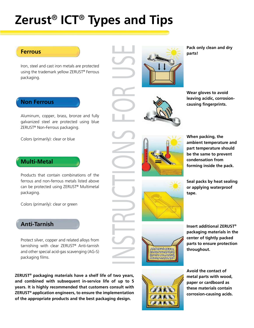# **Zerust**® **ICT**® **Types and Tips**

E

#### **Ferrous**

Iron, steel and cast iron metals are protected using the trademark yellow ZERUST® Ferrous packaging.

#### **Non Ferrous**

Aluminum, copper, brass, bronze and fully galvanized steel are protected using blue ZERUST® Non-Ferrous packaging.

Colors (primarily): clear or blue

### **Multi-Metal**

Products that contain combinations of the ferrous and non-ferrous metals listed above can be protected using ZERUST® Multimetal packaging.

Colors (primarily): clear or green

## **Anti-Tarnish**

Protect silver, copper and related alloys from tarnishing with clear ZERUST® Anti-tarnish and other special acid-gas scavenging (AG-S) packaging films.

**ZERUST® packaging materials have a shelf life of two years, and combined with subsequent in-service life of up to 5 years. It is highly recommended that customers consult with ZERUST® application engineers, to ensure the implementation of the appropriate products and the best packaging design.**

**Pack only clean and dry parts!**



**Wear gloves to avoid leaving acidic, corrosioncausing fingerprints.**



**When packing, the ambient temperature and part temperature should be the same to prevent condensation from forming inside the pack.**



**Seal packs by heat sealing or applying waterproof tape.**



**Insert additional ZERUST® packaging materials in the center of tightly packed parts to ensure protection throughout.**



**Avoid the contact of metal parts with wood, paper or cardboard as these materials contain corrosion-causing acids.**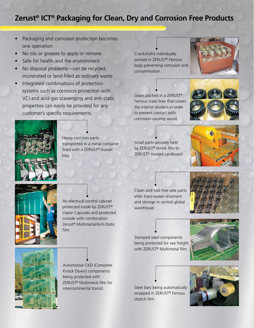## **Zerust® ICT® Packaging for Clean, Dry and Corrosion Free Products**

- Packaging and corrosion protection becomes one operation.
- No oils or greases to apply or remove.
- Safe for health and the environment.
- No disposal problems—can be recycled, incinerated or land-filled as ordinary waste
- Integrated combinations of protection systems such as corrosion protection with VCI and acid-gas scavenging and anti-static
	- properties can easily be provided for any customer's specific requirements.

Crankshafts individually packed in ZERUST® Ferrous bags preventing corrosion and contamination.

Gears packed in a ZERUST® Ferrous crate liner that covers the interior dividers in order to prevent contact with corrosion-causing wood.





Heavy cast iron parts transported in a metal container lined with a ZERUST® Gusset bag.

Small parts securely held by ZERUST® shrink film to ZERUST® treated cardboard.





An electrical control cabinet protected inside by ZERUST® Vapor Capsules and protected outside with combination Zerust® Multimetal/Anti-Static film.

Clean and rust-free axle parts after trans-ocean shipment and storage in central global warehouse.



Stamped steel components being protected for sea freight with ZERUST® Multimetal film.









Automotive CKD (Complete Knock Down) components being protected with ZERUST® Multimetal film for intercontinental transit.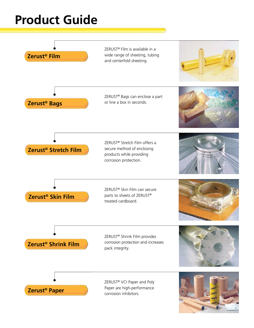# **Product Guide**